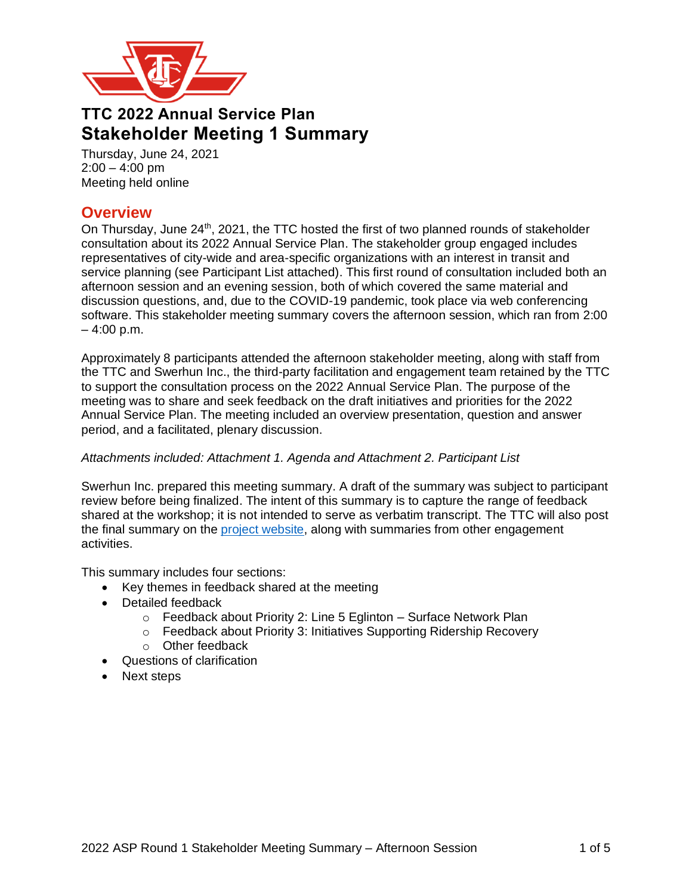

# **TTC 2022 Annual Service Plan Stakeholder Meeting 1 Summary**

Thursday, June 24, 2021  $2:00 - 4:00$  pm Meeting held online

# **Overview**

On Thursday, June 24<sup>th</sup>, 2021, the TTC hosted the first of two planned rounds of stakeholder consultation about its 2022 Annual Service Plan. The stakeholder group engaged includes representatives of city-wide and area-specific organizations with an interest in transit and service planning (see Participant List attached). This first round of consultation included both an afternoon session and an evening session, both of which covered the same material and discussion questions, and, due to the COVID-19 pandemic, took place via web conferencing software. This stakeholder meeting summary covers the afternoon session, which ran from 2:00  $-4:00$  p.m.

Approximately 8 participants attended the afternoon stakeholder meeting, along with staff from the TTC and Swerhun Inc., the third-party facilitation and engagement team retained by the TTC to support the consultation process on the 2022 Annual Service Plan. The purpose of the meeting was to share and seek feedback on the draft initiatives and priorities for the 2022 Annual Service Plan. The meeting included an overview presentation, question and answer period, and a facilitated, plenary discussion.

## *Attachments included: Attachment 1. Agenda and Attachment 2. Participant List*

Swerhun Inc. prepared this meeting summary. A draft of the summary was subject to participant review before being finalized. The intent of this summary is to capture the range of feedback shared at the workshop; it is not intended to serve as verbatim transcript. The TTC will also post the final summary on the [project website,](http://www.ttc.ca/About_the_TTC/Projects/5_year_plan_and_10_y/2022_ASP.jsp) along with summaries from other engagement activities.

This summary includes four sections:

- Key themes in feedback shared at the meeting
- Detailed feedback
	- o Feedback about Priority 2: Line 5 Eglinton Surface Network Plan
	- o Feedback about Priority 3: Initiatives Supporting Ridership Recovery
	- o Other feedback
- Questions of clarification
- Next steps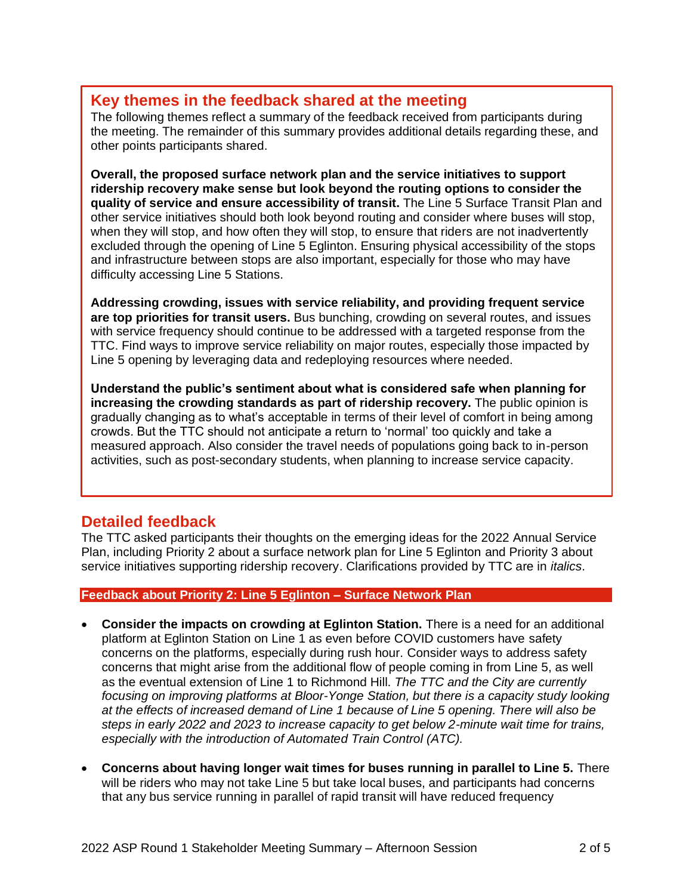# **Key themes in the feedback shared at the meeting**

The following themes reflect a summary of the feedback received from participants during the meeting. The remainder of this summary provides additional details regarding these, and other points participants shared.

**Overall, the proposed surface network plan and the service initiatives to support ridership recovery make sense but look beyond the routing options to consider the quality of service and ensure accessibility of transit.** The Line 5 Surface Transit Plan and other service initiatives should both look beyond routing and consider where buses will stop, when they will stop, and how often they will stop, to ensure that riders are not inadvertently excluded through the opening of Line 5 Eglinton. Ensuring physical accessibility of the stops and infrastructure between stops are also important, especially for those who may have difficulty accessing Line 5 Stations.

**Addressing crowding, issues with service reliability, and providing frequent service are top priorities for transit users.** Bus bunching, crowding on several routes, and issues with service frequency should continue to be addressed with a targeted response from the TTC. Find ways to improve service reliability on major routes, especially those impacted by Line 5 opening by leveraging data and redeploying resources where needed.

**Understand the public's sentiment about what is considered safe when planning for increasing the crowding standards as part of ridership recovery.** The public opinion is gradually changing as to what's acceptable in terms of their level of comfort in being among crowds. But the TTC should not anticipate a return to 'normal' too quickly and take a measured approach. Also consider the travel needs of populations going back to in-person activities, such as post-secondary students, when planning to increase service capacity.

# **Detailed feedback**

The TTC asked participants their thoughts on the emerging ideas for the 2022 Annual Service Plan, including Priority 2 about a surface network plan for Line 5 Eglinton and Priority 3 about service initiatives supporting ridership recovery. Clarifications provided by TTC are in *italics*.

## **Feedback about Priority 2: Line 5 Eglinton – Surface Network Plan**

- **Consider the impacts on crowding at Eglinton Station.** There is a need for an additional platform at Eglinton Station on Line 1 as even before COVID customers have safety concerns on the platforms, especially during rush hour. Consider ways to address safety concerns that might arise from the additional flow of people coming in from Line 5, as well as the eventual extension of Line 1 to Richmond Hill. *The TTC and the City are currently focusing on improving platforms at Bloor-Yonge Station, but there is a capacity study looking at the effects of increased demand of Line 1 because of Line 5 opening. There will also be steps in early 2022 and 2023 to increase capacity to get below 2-minute wait time for trains, especially with the introduction of Automated Train Control (ATC).*
- **Concerns about having longer wait times for buses running in parallel to Line 5.** There will be riders who may not take Line 5 but take local buses, and participants had concerns that any bus service running in parallel of rapid transit will have reduced frequency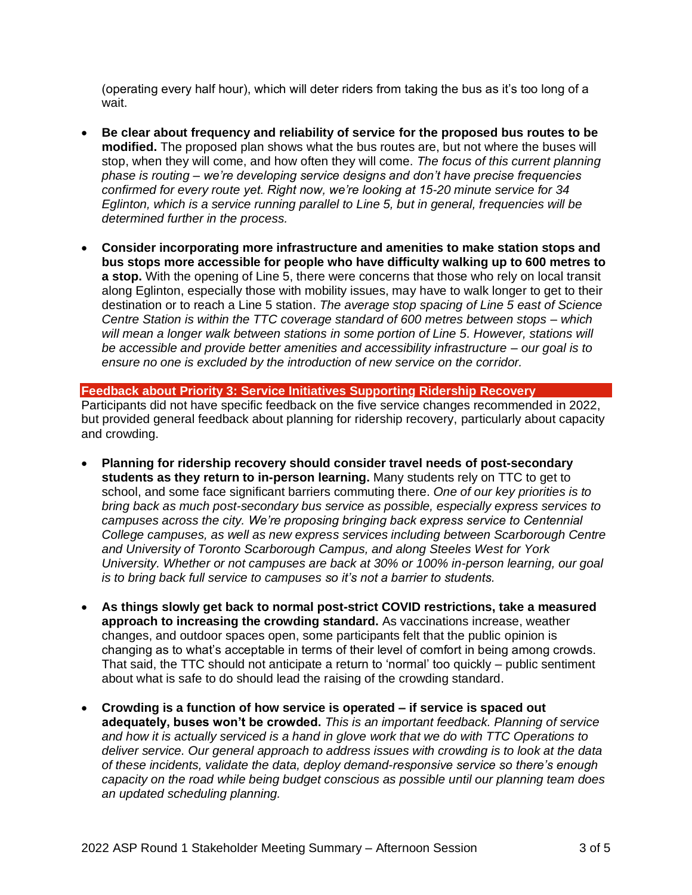(operating every half hour), which will deter riders from taking the bus as it's too long of a wait.

- **Be clear about frequency and reliability of service for the proposed bus routes to be modified.** The proposed plan shows what the bus routes are, but not where the buses will stop, when they will come, and how often they will come. *The focus of this current planning phase is routing – we're developing service designs and don't have precise frequencies confirmed for every route yet. Right now, we're looking at 15-20 minute service for 34 Eglinton, which is a service running parallel to Line 5, but in general, frequencies will be determined further in the process.*
- **Consider incorporating more infrastructure and amenities to make station stops and bus stops more accessible for people who have difficulty walking up to 600 metres to a stop.** With the opening of Line 5, there were concerns that those who rely on local transit along Eglinton, especially those with mobility issues, may have to walk longer to get to their destination or to reach a Line 5 station. *The average stop spacing of Line 5 east of Science Centre Station is within the TTC coverage standard of 600 metres between stops – which will mean a longer walk between stations in some portion of Line 5. However, stations will be accessible and provide better amenities and accessibility infrastructure – our goal is to ensure no one is excluded by the introduction of new service on the corridor.*

**Feedback about Priority 3: Service Initiatives Supporting Ridership Recovery** Participants did not have specific feedback on the five service changes recommended in 2022, but provided general feedback about planning for ridership recovery, particularly about capacity and crowding.

- **Planning for ridership recovery should consider travel needs of post-secondary students as they return to in-person learning.** Many students rely on TTC to get to school, and some face significant barriers commuting there. *One of our key priorities is to bring back as much post-secondary bus service as possible, especially express services to campuses across the city. We're proposing bringing back express service to Centennial College campuses, as well as new express services including between Scarborough Centre and University of Toronto Scarborough Campus, and along Steeles West for York University. Whether or not campuses are back at 30% or 100% in-person learning, our goal is to bring back full service to campuses so it's not a barrier to students.*
- **As things slowly get back to normal post-strict COVID restrictions, take a measured approach to increasing the crowding standard.** As vaccinations increase, weather changes, and outdoor spaces open, some participants felt that the public opinion is changing as to what's acceptable in terms of their level of comfort in being among crowds. That said, the TTC should not anticipate a return to 'normal' too quickly – public sentiment about what is safe to do should lead the raising of the crowding standard.
- **Crowding is a function of how service is operated – if service is spaced out adequately, buses won't be crowded.** *This is an important feedback. Planning of service and how it is actually serviced is a hand in glove work that we do with TTC Operations to deliver service. Our general approach to address issues with crowding is to look at the data of these incidents, validate the data, deploy demand-responsive service so there's enough capacity on the road while being budget conscious as possible until our planning team does an updated scheduling planning.*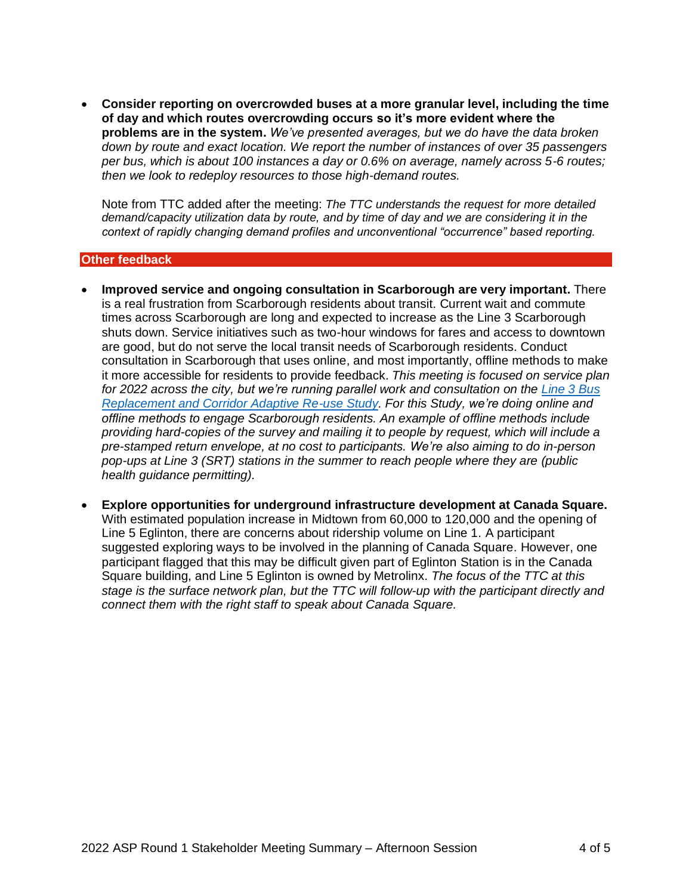• **Consider reporting on overcrowded buses at a more granular level, including the time of day and which routes overcrowding occurs so it's more evident where the problems are in the system.** *We've presented averages, but we do have the data broken down by route and exact location. We report the number of instances of over 35 passengers per bus, which is about 100 instances a day or 0.6% on average, namely across 5-6 routes; then we look to redeploy resources to those high-demand routes.*

Note from TTC added after the meeting: *The TTC understands the request for more detailed demand/capacity utilization data by route, and by time of day and we are considering it in the context of rapidly changing demand profiles and unconventional "occurrence" based reporting.*

#### **Other feedback**

- **Improved service and ongoing consultation in Scarborough are very important.** There is a real frustration from Scarborough residents about transit. Current wait and commute times across Scarborough are long and expected to increase as the Line 3 Scarborough shuts down. Service initiatives such as two-hour windows for fares and access to downtown are good, but do not serve the local transit needs of Scarborough residents. Conduct consultation in Scarborough that uses online, and most importantly, offline methods to make it more accessible for residents to provide feedback. *This meeting is focused on service plan for 2022 across the city, but we're running parallel work and consultation on the [Line 3 Bus](https://www.ttc.ca/About_the_TTC/Projects/Future_of_SRT/srt.jsp)  [Replacement and Corridor Adaptive Re-use](https://www.ttc.ca/About_the_TTC/Projects/Future_of_SRT/srt.jsp) Study. For this Study, we're doing online and offline methods to engage Scarborough residents. An example of offline methods include providing hard-copies of the survey and mailing it to people by request, which will include a pre-stamped return envelope, at no cost to participants. We're also aiming to do in-person pop-ups at Line 3 (SRT) stations in the summer to reach people where they are (public health guidance permitting).*
- **Explore opportunities for underground infrastructure development at Canada Square.** With estimated population increase in Midtown from 60,000 to 120,000 and the opening of Line 5 Eglinton, there are concerns about ridership volume on Line 1. A participant suggested exploring ways to be involved in the planning of Canada Square. However, one participant flagged that this may be difficult given part of Eglinton Station is in the Canada Square building, and Line 5 Eglinton is owned by Metrolinx. *The focus of the TTC at this stage is the surface network plan, but the TTC will follow-up with the participant directly and connect them with the right staff to speak about Canada Square.*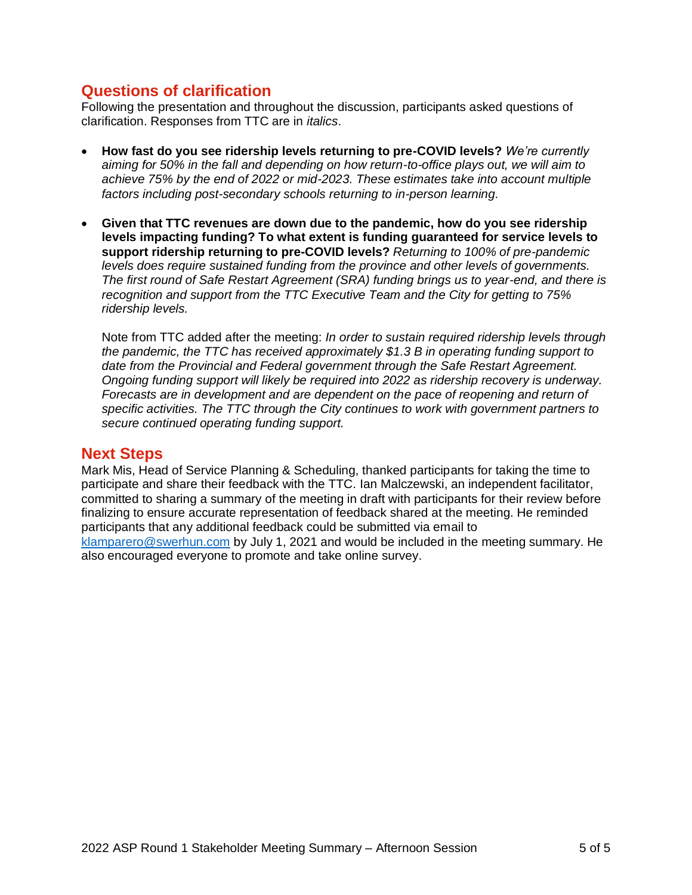# **Questions of clarification**

Following the presentation and throughout the discussion, participants asked questions of clarification. Responses from TTC are in *italics*.

- **How fast do you see ridership levels returning to pre-COVID levels?** *We're currently aiming for 50% in the fall and depending on how return-to-office plays out, we will aim to achieve 75% by the end of 2022 or mid-2023. These estimates take into account multiple factors including post-secondary schools returning to in-person learning.*
- **Given that TTC revenues are down due to the pandemic, how do you see ridership levels impacting funding? To what extent is funding guaranteed for service levels to support ridership returning to pre-COVID levels?** *Returning to 100% of pre-pandemic levels does require sustained funding from the province and other levels of governments. The first round of Safe Restart Agreement (SRA) funding brings us to year-end, and there is recognition and support from the TTC Executive Team and the City for getting to 75% ridership levels.*

Note from TTC added after the meeting: *In order to sustain required ridership levels through the pandemic, the TTC has received approximately \$1.3 B in operating funding support to date from the Provincial and Federal government through the Safe Restart Agreement. Ongoing funding support will likely be required into 2022 as ridership recovery is underway. Forecasts are in development and are dependent on the pace of reopening and return of specific activities. The TTC through the City continues to work with government partners to secure continued operating funding support.* 

## **Next Steps**

Mark Mis, Head of Service Planning & Scheduling, thanked participants for taking the time to participate and share their feedback with the TTC. Ian Malczewski, an independent facilitator, committed to sharing a summary of the meeting in draft with participants for their review before finalizing to ensure accurate representation of feedback shared at the meeting. He reminded participants that any additional feedback could be submitted via email to [klamparero@swerhun.com](mailto:klamparero@swerhun.com) by July 1, 2021 and would be included in the meeting summary. He also encouraged everyone to promote and take online survey.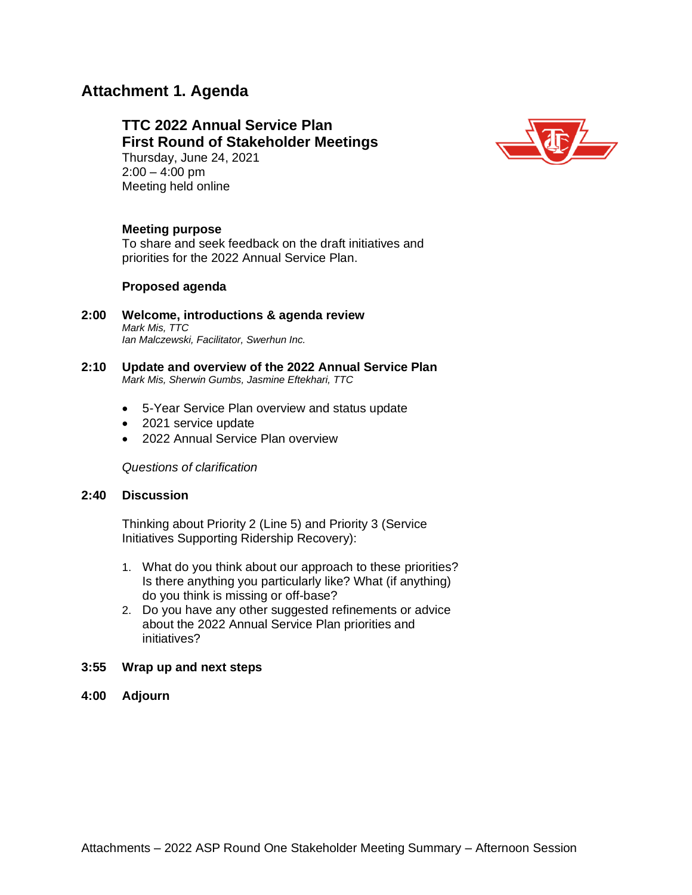# **Attachment 1. Agenda**

## **TTC 2022 Annual Service Plan First Round of Stakeholder Meetings**  Thursday, June 24, 2021  $2:00 - 4:00$  pm



### **Meeting purpose**

Meeting held online

To share and seek feedback on the draft initiatives and priorities for the 2022 Annual Service Plan.

#### **Proposed agenda**

- **2:00 Welcome, introductions & agenda review** *Mark Mis, TTC Ian Malczewski, Facilitator, Swerhun Inc.*
- **2:10 Update and overview of the 2022 Annual Service Plan** *Mark Mis, Sherwin Gumbs, Jasmine Eftekhari, TTC*
	- 5-Year Service Plan overview and status update
	- 2021 service update
	- 2022 Annual Service Plan overview

*Questions of clarification*

#### **2:40 Discussion**

Thinking about Priority 2 (Line 5) and Priority 3 (Service Initiatives Supporting Ridership Recovery):

- 1. What do you think about our approach to these priorities? Is there anything you particularly like? What (if anything) do you think is missing or off-base?
- 2. Do you have any other suggested refinements or advice about the 2022 Annual Service Plan priorities and initiatives?
- **3:55 Wrap up and next steps**
- **4:00 Adjourn**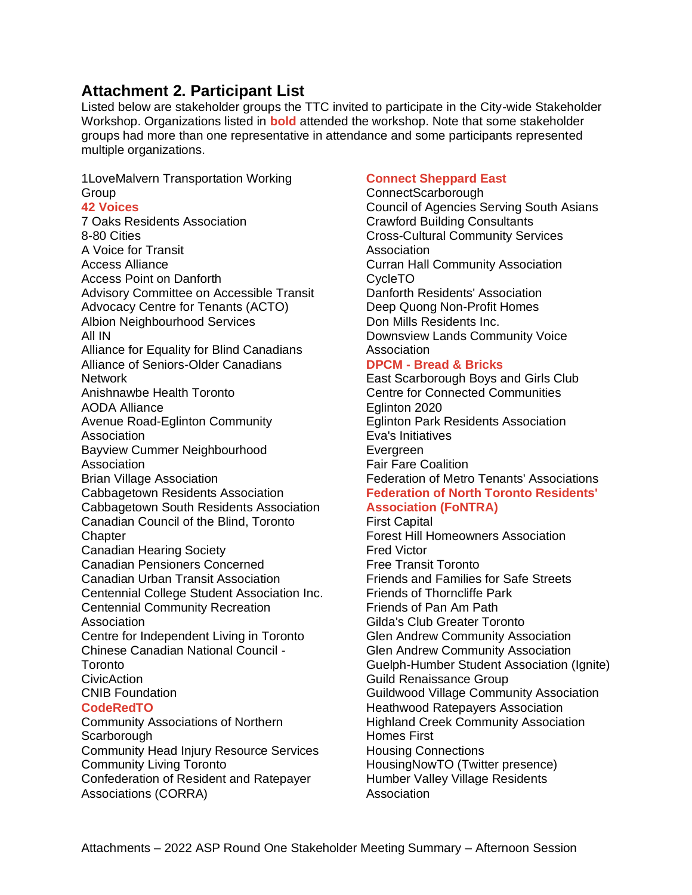# **Attachment 2. Participant List**

Listed below are stakeholder groups the TTC invited to participate in the City-wide Stakeholder Workshop. Organizations listed in **bold** attended the workshop. Note that some stakeholder groups had more than one representative in attendance and some participants represented multiple organizations.

1LoveMalvern Transportation Working Group

## **42 Voices**

7 Oaks Residents Association 8-80 Cities A Voice for Transit Access Alliance Access Point on Danforth Advisory Committee on Accessible Transit Advocacy Centre for Tenants (ACTO) Albion Neighbourhood Services All IN Alliance for Equality for Blind Canadians Alliance of Seniors-Older Canadians Network Anishnawbe Health Toronto AODA Alliance Avenue Road-Eglinton Community Association Bayview Cummer Neighbourhood **Association** Brian Village Association Cabbagetown Residents Association Cabbagetown South Residents Association Canadian Council of the Blind, Toronto **Chapter** Canadian Hearing Society Canadian Pensioners Concerned Canadian Urban Transit Association Centennial College Student Association Inc. **Toronto** CNIB Foundation **CodeRedTO** Community Associations of Northern **Scarborough** Community Head Injury Resource Services Community Living Toronto

Centennial Community Recreation Association Centre for Independent Living in Toronto Chinese Canadian National Council -

CivicAction

Confederation of Resident and Ratepayer Associations (CORRA)

### **Connect Sheppard East**

ConnectScarborough Council of Agencies Serving South Asians Crawford Building Consultants Cross-Cultural Community Services **Association** Curran Hall Community Association CycleTO Danforth Residents' Association Deep Quong Non-Profit Homes Don Mills Residents Inc. Downsview Lands Community Voice Association

#### **DPCM - Bread & Bricks**

East Scarborough Boys and Girls Club Centre for Connected Communities Eglinton 2020 Eglinton Park Residents Association Eva's Initiatives **Evergreen** Fair Fare Coalition Federation of Metro Tenants' Associations **Federation of North Toronto Residents'** 

## **Association (FoNTRA)**

First Capital Forest Hill Homeowners Association Fred Victor Free Transit Toronto Friends and Families for Safe Streets Friends of Thorncliffe Park Friends of Pan Am Path Gilda's Club Greater Toronto Glen Andrew Community Association Glen Andrew Community Association Guelph-Humber Student Association (Ignite) Guild Renaissance Group Guildwood Village Community Association Heathwood Ratepayers Association Highland Creek Community Association Homes First Housing Connections HousingNowTO (Twitter presence) Humber Valley Village Residents **Association**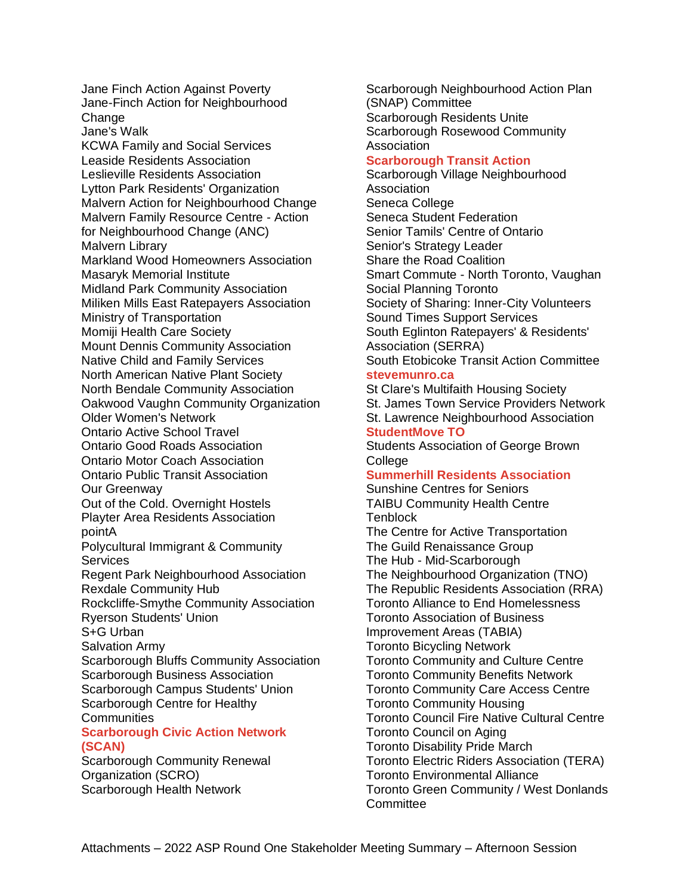Jane Finch Action Against Poverty Jane-Finch Action for Neighbourhood Change Jane's Walk KCWA Family and Social Services Leaside Residents Association Leslieville Residents Association Lytton Park Residents' Organization Malvern Action for Neighbourhood Change Malvern Family Resource Centre - Action for Neighbourhood Change (ANC) Malvern Library Markland Wood Homeowners Association Masaryk Memorial Institute Midland Park Community Association Miliken Mills East Ratepayers Association Ministry of Transportation Momiji Health Care Society Mount Dennis Community Association Native Child and Family Services North American Native Plant Society North Bendale Community Association Oakwood Vaughn Community Organization Older Women's Network Ontario Active School Travel Ontario Good Roads Association Ontario Motor Coach Association Ontario Public Transit Association Our Greenway Out of the Cold. Overnight Hostels Playter Area Residents Association pointA Polycultural Immigrant & Community **Services** Regent Park Neighbourhood Association Rexdale Community Hub Rockcliffe-Smythe Community Association Ryerson Students' Union S+G Urban Salvation Army Scarborough Bluffs Community Association Scarborough Business Association Scarborough Campus Students' Union Scarborough Centre for Healthy **Communities Scarborough Civic Action Network (SCAN)** Scarborough Community Renewal

# Organization (SCRO) Scarborough Health Network

Scarborough Neighbourhood Action Plan (SNAP) Committee Scarborough Residents Unite Scarborough Rosewood Community Association

#### **Scarborough Transit Action**

Scarborough Village Neighbourhood Association Seneca College Seneca Student Federation Senior Tamils' Centre of Ontario Senior's Strategy Leader Share the Road Coalition Smart Commute - North Toronto, Vaughan Social Planning Toronto Society of Sharing: Inner-City Volunteers Sound Times Support Services South Eglinton Ratepayers' & Residents' Association (SERRA) South Etobicoke Transit Action Committee

## **stevemunro.ca**

St Clare's Multifaith Housing Society St. James Town Service Providers Network St. Lawrence Neighbourhood Association **StudentMove TO**

Students Association of George Brown **College** 

## **Summerhill Residents Association**

Sunshine Centres for Seniors TAIBU Community Health Centre **Tenblock** The Centre for Active Transportation

The Guild Renaissance Group The Hub - Mid-Scarborough The Neighbourhood Organization (TNO) The Republic Residents Association (RRA) Toronto Alliance to End Homelessness Toronto Association of Business Improvement Areas (TABIA) Toronto Bicycling Network Toronto Community and Culture Centre Toronto Community Benefits Network Toronto Community Care Access Centre Toronto Community Housing Toronto Council Fire Native Cultural Centre Toronto Council on Aging Toronto Disability Pride March Toronto Electric Riders Association (TERA) Toronto Environmental Alliance Toronto Green Community / West Donlands **Committee**